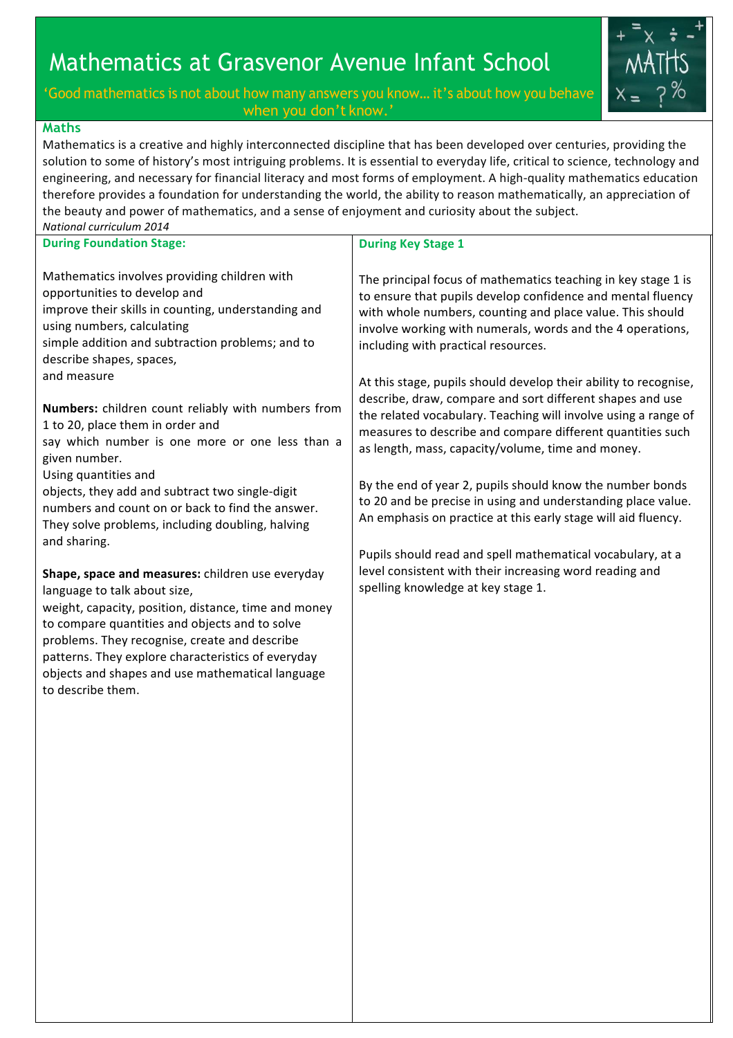## Mathematics at Grasvenor Avenue Infant School

'Good mathematics is not about how many answers you know… it's about how you behave when you don't know.

## **Maths**

Mathematics is a creative and highly interconnected discipline that has been developed over centuries, providing the solution to some of history's most intriguing problems. It is essential to everyday life, critical to science, technology and engineering, and necessary for financial literacy and most forms of employment. A high-quality mathematics education therefore provides a foundation for understanding the world, the ability to reason mathematically, an appreciation of the beauty and power of mathematics, and a sense of enjoyment and curiosity about the subject. *National curriculum 2014*

 $X =$ 

| NUUDINI CUITICUIUII 2014                                                                                                                                                                                                                                                                                                                                                                                                                                                                                                                                                                                                                                                                                                                    |                                                                                                                                                                                                                                                                                                                                                                                                                                                                                                                                                                                                             |
|---------------------------------------------------------------------------------------------------------------------------------------------------------------------------------------------------------------------------------------------------------------------------------------------------------------------------------------------------------------------------------------------------------------------------------------------------------------------------------------------------------------------------------------------------------------------------------------------------------------------------------------------------------------------------------------------------------------------------------------------|-------------------------------------------------------------------------------------------------------------------------------------------------------------------------------------------------------------------------------------------------------------------------------------------------------------------------------------------------------------------------------------------------------------------------------------------------------------------------------------------------------------------------------------------------------------------------------------------------------------|
| <b>During Foundation Stage:</b>                                                                                                                                                                                                                                                                                                                                                                                                                                                                                                                                                                                                                                                                                                             | <b>During Key Stage 1</b>                                                                                                                                                                                                                                                                                                                                                                                                                                                                                                                                                                                   |
| Mathematics involves providing children with<br>opportunities to develop and<br>improve their skills in counting, understanding and<br>using numbers, calculating<br>simple addition and subtraction problems; and to<br>describe shapes, spaces,<br>and measure                                                                                                                                                                                                                                                                                                                                                                                                                                                                            | The principal focus of mathematics teaching in key stage 1 is<br>to ensure that pupils develop confidence and mental fluency<br>with whole numbers, counting and place value. This should<br>involve working with numerals, words and the 4 operations,<br>including with practical resources.<br>At this stage, pupils should develop their ability to recognise,                                                                                                                                                                                                                                          |
| Numbers: children count reliably with numbers from<br>1 to 20, place them in order and<br>say which number is one more or one less than a<br>given number.<br>Using quantities and<br>objects, they add and subtract two single-digit<br>numbers and count on or back to find the answer.<br>They solve problems, including doubling, halving<br>and sharing.<br>Shape, space and measures: children use everyday<br>language to talk about size,<br>weight, capacity, position, distance, time and money<br>to compare quantities and objects and to solve<br>problems. They recognise, create and describe<br>patterns. They explore characteristics of everyday<br>objects and shapes and use mathematical language<br>to describe them. | describe, draw, compare and sort different shapes and use<br>the related vocabulary. Teaching will involve using a range of<br>measures to describe and compare different quantities such<br>as length, mass, capacity/volume, time and money.<br>By the end of year 2, pupils should know the number bonds<br>to 20 and be precise in using and understanding place value.<br>An emphasis on practice at this early stage will aid fluency.<br>Pupils should read and spell mathematical vocabulary, at a<br>level consistent with their increasing word reading and<br>spelling knowledge at key stage 1. |
|                                                                                                                                                                                                                                                                                                                                                                                                                                                                                                                                                                                                                                                                                                                                             |                                                                                                                                                                                                                                                                                                                                                                                                                                                                                                                                                                                                             |